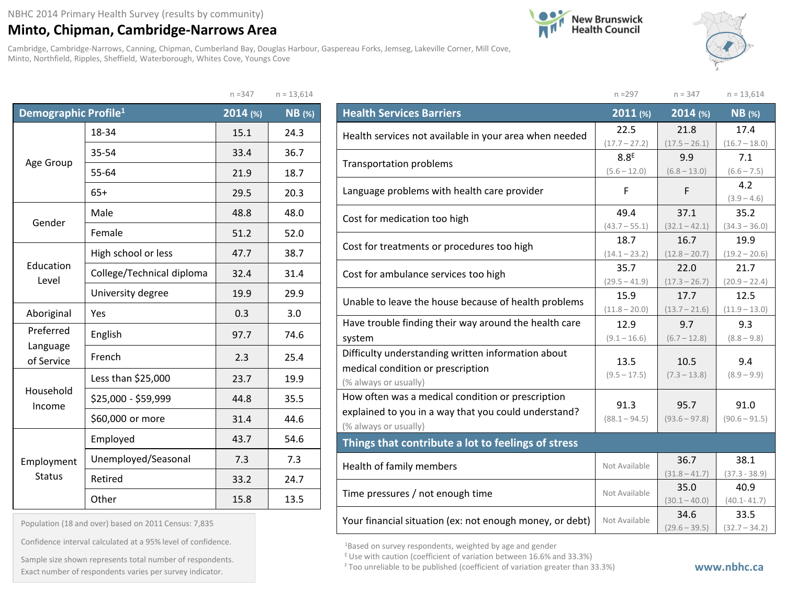## **Minto, Chipman, Cambridge-Narrows Area**

Cambridge, Cambridge-Narrows, Canning, Chipman, Cumberland Bay, Douglas Harbour, Gaspereau Forks, Jemseg, Lakeville Corner, Mill Cove, Minto, Northfield, Ripples, Sheffield, Waterborough, Whites Cove, Youngs Cove





n =297 n = 347 n = 13,614

|                                  |                           | $n = 347$ | $I = 13,014$  |
|----------------------------------|---------------------------|-----------|---------------|
| Demographic Profile <sup>1</sup> |                           | 2014 (%)  | <b>NB</b> (%) |
|                                  | 18-34                     | 15.1      | 24.3          |
|                                  | 35-54                     | 33.4      | 36.7          |
| Age Group                        | 55-64                     | 21.9      | 18.7          |
|                                  | $65+$                     | 29.5      | 20.3          |
| Gender                           | Male                      | 48.8      | 48.0          |
|                                  | Female                    | 51.2      | 52.0          |
|                                  | High school or less       | 47.7      | 38.7          |
| Education<br>Level               | College/Technical diploma | 32.4      | 31.4          |
|                                  | University degree         | 19.9      | 29.9          |
| Aboriginal                       | Yes                       | 0.3       | 3.0           |
| Preferred                        | English                   | 97.7      | 74.6          |
| Language<br>of Service           | French                    | 2.3       | 25.4          |
|                                  | Less than \$25,000        | 23.7      | 19.9          |
| Household<br>Income              | \$25,000 - \$59,999       | 44.8      | 35.5          |
|                                  | \$60,000 or more          | 31.4      | 44.6          |
|                                  | Employed                  | 43.7      | 54.6          |
| Employment                       | Unemployed/Seasonal       | 7.3       | 7.3           |
| <b>Status</b>                    | Retired                   | 33.2      | 24.7          |
|                                  | Other                     | 15.8      | 13.5          |

| $n = 347$ | $n = 13,614$ |  |
|-----------|--------------|--|
|           |              |  |

| <b>Health Services Barriers</b>                          | $2011$ (%)       | $2014$ (%)      | $NB$ (%)        |
|----------------------------------------------------------|------------------|-----------------|-----------------|
| Health services not available in your area when needed   | 22.5             | 21.8            | 17.4            |
|                                                          | $(17.7 - 27.2)$  | $(17.5 - 26.1)$ | $(16.7 - 18.0)$ |
| <b>Transportation problems</b>                           | 8.8 <sup>E</sup> | 9.9             | 7.1             |
|                                                          | $(5.6 - 12.0)$   | $(6.8 - 13.0)$  | $(6.6 - 7.5)$   |
| Language problems with health care provider              | F                | F               | 4.2             |
|                                                          |                  |                 | $(3.9 - 4.6)$   |
| Cost for medication too high                             | 49.4             | 37.1            | 35.2            |
|                                                          | $(43.7 - 55.1)$  | $(32.1 - 42.1)$ | $(34.3 - 36.0)$ |
| Cost for treatments or procedures too high               | 18.7             | 16.7            | 19.9            |
|                                                          | $(14.1 - 23.2)$  | $(12.8 - 20.7)$ | $(19.2 - 20.6)$ |
|                                                          | 35.7             | 22.0            | 21.7            |
| Cost for ambulance services too high                     | $(29.5 - 41.9)$  | $(17.3 - 26.7)$ | $(20.9 - 22.4)$ |
| Unable to leave the house because of health problems     | 15.9             | 17.7            | 12.5            |
|                                                          | $(11.8 - 20.0)$  | $(13.7 - 21.6)$ | $(11.9 - 13.0)$ |
| Have trouble finding their way around the health care    | 12.9             | 9.7             | 9.3             |
| system                                                   | $(9.1 - 16.6)$   | $(6.7 - 12.8)$  | $(8.8 - 9.8)$   |
| Difficulty understanding written information about       |                  |                 |                 |
| medical condition or prescription                        | 13.5             | 10.5            | 9.4             |
| (% always or usually)                                    | $(9.5 - 17.5)$   | $(7.3 - 13.8)$  | $(8.9 - 9.9)$   |
| How often was a medical condition or prescription        |                  |                 |                 |
| explained to you in a way that you could understand?     | 91.3             | 95.7            | 91.0            |
| (% always or usually)                                    | $(88.1 - 94.5)$  | $(93.6 - 97.8)$ | $(90.6 - 91.5)$ |
| Things that contribute a lot to feelings of stress       |                  |                 |                 |
|                                                          | Not Available    | 36.7            | 38.1            |
| Health of family members                                 |                  | $(31.8 - 41.7)$ | $(37.3 - 38.9)$ |
|                                                          | Not Available    | 35.0            | 40.9            |
| Time pressures / not enough time                         |                  | $(30.1 - 40.0)$ | $(40.1 - 41.7)$ |
|                                                          | Not Available    | 34.6            | 33.5            |
| Your financial situation (ex: not enough money, or debt) |                  | $(29.6 - 39.5)$ | $(32.7 - 34.2)$ |

1Based on survey respondents, weighted by age and gender

 $E$  Use with caution (coefficient of variation between 16.6% and 33.3%)

Population (18 and over) based on 2011 Census: 7,835

Confidence interval calculated at a 95% level of confidence.

Exact number of respondents varies per survey indicator.<br>Exact number of respondents varies per survey indicator. Sample size shown represents total number of respondents.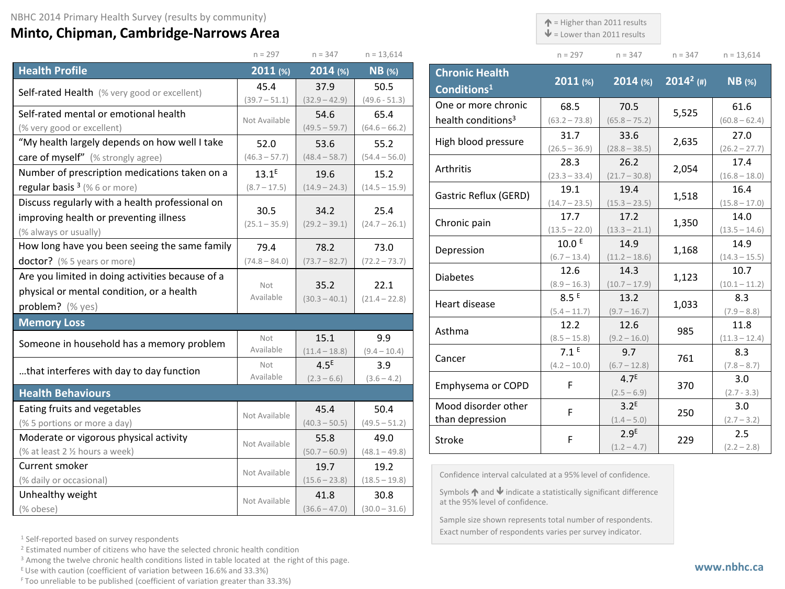## **Minto, Chipman, Cambridge-Narrows Area**

 $\uparrow$  = Higher than 2011 results

 $\mathbf{\Psi}$  = Lower than 2011 results

| $n = 297$ | $n = 347$ | $n = 347$ | $n = 13,614$ |
|-----------|-----------|-----------|--------------|

|                                                  | $n = 297$        | $n = 347$        | $n = 13,614$    |  |
|--------------------------------------------------|------------------|------------------|-----------------|--|
| <b>Health Profile</b>                            | 2011(%)          | 2014 (%)         | <b>NB</b> (%)   |  |
| Self-rated Health (% very good or excellent)     | 45.4             | 37.9             | 50.5            |  |
|                                                  | $(39.7 - 51.1)$  | $(32.9 - 42.9)$  | $(49.6 - 51.3)$ |  |
| Self-rated mental or emotional health            | Not Available    | 54.6             | 65.4            |  |
| (% very good or excellent)                       |                  | $(49.5 - 59.7)$  | $(64.6 - 66.2)$ |  |
| "My health largely depends on how well I take    | 52.0             | 53.6             | 55.2            |  |
| care of myself" (% strongly agree)               | $(46.3 - 57.7)$  | $(48.4 - 58.7)$  | $(54.4 - 56.0)$ |  |
| Number of prescription medications taken on a    | $13.1^E$         | 19.6             | 15.2            |  |
| regular basis <sup>3</sup> (%6 or more)          | $(8.7 - 17.5)$   | $(14.9 - 24.3)$  | $(14.5 - 15.9)$ |  |
| Discuss regularly with a health professional on  |                  |                  |                 |  |
| improving health or preventing illness           | 30.5             | 34.2             | 25.4            |  |
| (% always or usually)                            | $(25.1 - 35.9)$  | $(29.2 - 39.1)$  | $(24.7 - 26.1)$ |  |
| How long have you been seeing the same family    | 79.4             | 78.2             | 73.0            |  |
| doctor? (% 5 years or more)                      | $(74.8 - 84.0)$  | $(73.7 - 82.7)$  | $(72.2 - 73.7)$ |  |
| Are you limited in doing activities because of a |                  |                  |                 |  |
| physical or mental condition, or a health        | Not<br>Available | 35.2             | 22.1            |  |
| problem? (% yes)                                 |                  | $(30.3 - 40.1)$  | $(21.4 - 22.8)$ |  |
| <b>Memory Loss</b>                               |                  |                  |                 |  |
| Someone in household has a memory problem        | Not              | 15.1             | 9.9             |  |
|                                                  | Available        | $(11.4 - 18.8)$  | $(9.4 - 10.4)$  |  |
| that interferes with day to day function         | Not              | 4.5 <sup>E</sup> | 3.9             |  |
|                                                  | Available        | $(2.3 - 6.6)$    | $(3.6 - 4.2)$   |  |
| <b>Health Behaviours</b>                         |                  |                  |                 |  |
| Eating fruits and vegetables                     | Not Available    | 45.4             | 50.4            |  |
| (% 5 portions or more a day)                     |                  | $(40.3 - 50.5)$  | $(49.5 - 51.2)$ |  |
| Moderate or vigorous physical activity           | Not Available    | 55.8             | 49.0            |  |
| (% at least 2 1/2 hours a week)                  |                  | $(50.7 - 60.9)$  | $(48.1 - 49.8)$ |  |
| Current smoker                                   | Not Available    | 19.7             | 19.2            |  |
| (% daily or occasional)                          |                  | $(15.6 - 23.8)$  | $(18.5 - 19.8)$ |  |
| Unhealthy weight                                 | Not Available    | 41.8             | 30.8            |  |
| (% obese)                                        |                  | $(36.6 - 47.0)$  | $(30.0 - 31.6)$ |  |

| <b>Chronic Health</b><br>Conditions <sup>1</sup> | $2011$ (%)        | $2014$ (%)       | $2014^2$ (#) | <b>NB</b> (%)   |
|--------------------------------------------------|-------------------|------------------|--------------|-----------------|
| One or more chronic                              | 68.5              | 70.5             | 5,525        | 61.6            |
| health conditions <sup>3</sup>                   | $(63.2 - 73.8)$   | $(65.8 - 75.2)$  |              | $(60.8 - 62.4)$ |
| High blood pressure                              | 31.7              | 33.6             | 2,635        | 27.0            |
|                                                  | $(26.5 - 36.9)$   | $(28.8 - 38.5)$  |              | $(26.2 - 27.7)$ |
| Arthritis                                        | 28.3              | 26.2             | 2,054        | 17.4            |
|                                                  | $(23.3 - 33.4)$   | $(21.7 - 30.8)$  |              | $(16.8 - 18.0)$ |
| Gastric Reflux (GERD)                            | 19.1              | 19.4             | 1,518        | 16.4            |
|                                                  | $(14.7 - 23.5)$   | $(15.3 - 23.5)$  |              | $(15.8 - 17.0)$ |
| Chronic pain                                     | 17.7              | 17.2             | 1,350        | 14.0            |
|                                                  | $(13.5 - 22.0)$   | $(13.3 - 21.1)$  |              | $(13.5 - 14.6)$ |
| Depression                                       | 10.0 <sup>E</sup> | 14.9             | 1,168        | 14.9            |
|                                                  | $(6.7 - 13.4)$    | $(11.2 - 18.6)$  |              | $(14.3 - 15.5)$ |
| <b>Diabetes</b>                                  | 12.6              | 14.3             | 1,123        | 10.7            |
|                                                  | $(8.9 - 16.3)$    | $(10.7 - 17.9)$  |              | $(10.1 - 11.2)$ |
| Heart disease                                    | 8.5E              | 13.2             | 1,033        | 8.3             |
|                                                  | $(5.4 - 11.7)$    | $(9.7 - 16.7)$   |              | $(7.9 - 8.8)$   |
| Asthma                                           | 12.2              | 12.6             | 985          | 11.8            |
|                                                  | $(8.5 - 15.8)$    | $(9.2 - 16.0)$   |              | $(11.3 - 12.4)$ |
| Cancer                                           | 7.1 <sup>E</sup>  | 9.7              | 761          | 8.3             |
|                                                  | $(4.2 - 10.0)$    | $(6.7 - 12.8)$   |              | $(7.8 - 8.7)$   |
| Emphysema or COPD                                | F                 | 4.7 <sup>E</sup> | 370          | 3.0             |
|                                                  |                   | $(2.5 - 6.9)$    |              | $(2.7 - 3.3)$   |
| Mood disorder other                              | F                 | 3.2 <sup>E</sup> | 250          | 3.0             |
| than depression                                  |                   | $(1.4 - 5.0)$    |              | $(2.7 - 3.2)$   |
| Stroke                                           | F                 | 2.9 <sup>E</sup> | 229          | 2.5             |
|                                                  |                   | $(1.2 - 4.7)$    |              | $(2.2 - 2.8)$   |

Confidence interval calculated at a 95% level of confidence.

Symbols  $\bigwedge$  and  $\bigvee$  indicate a statistically significant difference at the 95% level of confidence.

Sample size shown represents total number of respondents. Exact number of respondents varies per survey indicator.

<sup>1</sup> Self-reported based on survey respondents

<sup>2</sup> Estimated number of citizens who have the selected chronic health condition

<sup>3</sup> Among the twelve chronic health conditions listed in table located at the right of this page.

 $E$  Use with caution (coefficient of variation between 16.6% and 33.3%)

F Too unreliable to be published (coefficient of variation greater than 33.3%)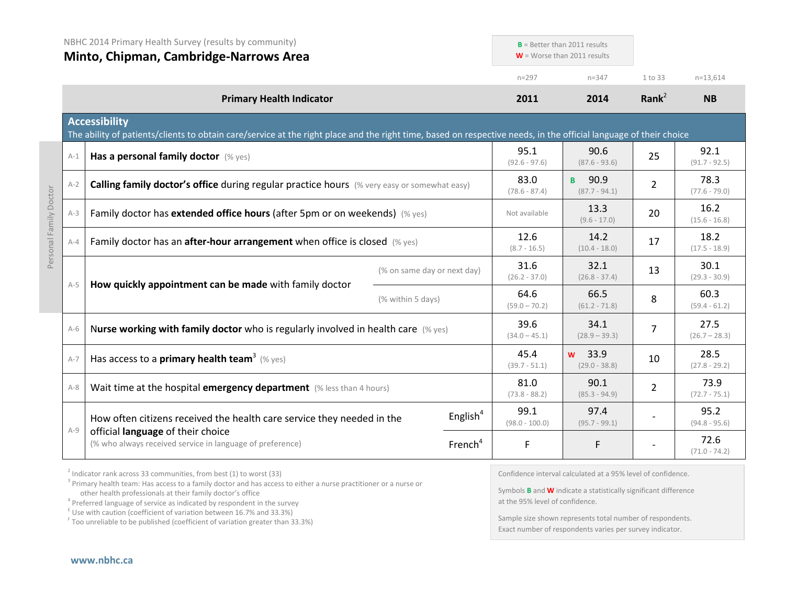|       | NBHC 2014 Primary Health Survey (results by community)<br>Minto, Chipman, Cambridge-Narrows Area                                                                                          |                   |                             | $B =$ Better than 2011 results<br>$W =$ Worse than 2011 results |                                     |                         |                         |
|-------|-------------------------------------------------------------------------------------------------------------------------------------------------------------------------------------------|-------------------|-----------------------------|-----------------------------------------------------------------|-------------------------------------|-------------------------|-------------------------|
|       |                                                                                                                                                                                           |                   |                             | $n = 297$                                                       | $n = 347$                           | 1 to 33                 | $n=13,614$              |
|       | <b>Primary Health Indicator</b>                                                                                                                                                           |                   |                             | 2011                                                            | 2014                                | Rank $^2$               | <b>NB</b>               |
|       | <b>Accessibility</b><br>The ability of patients/clients to obtain care/service at the right place and the right time, based on respective needs, in the official language of their choice |                   |                             |                                                                 |                                     |                         |                         |
| $A-1$ | Has a personal family doctor (% yes)                                                                                                                                                      |                   |                             | 95.1<br>$(92.6 - 97.6)$                                         | 90.6<br>$(87.6 - 93.6)$             | 25                      | 92.1<br>$(91.7 - 92.5)$ |
| $A-2$ | Calling family doctor's office during regular practice hours (% very easy or somewhat easy)                                                                                               |                   |                             | 83.0<br>$(78.6 - 87.4)$                                         | 90.9<br>B.<br>$(87.7 - 94.1)$       | $\overline{2}$          | 78.3<br>$(77.6 - 79.0)$ |
| $A-3$ | Family doctor has extended office hours (after 5pm or on weekends) (% yes)                                                                                                                |                   | Not available               | 13.3<br>$(9.6 - 17.0)$                                          | 20                                  | 16.2<br>$(15.6 - 16.8)$ |                         |
| $A-4$ | Family doctor has an after-hour arrangement when office is closed (% yes)                                                                                                                 |                   | 12.6<br>$(8.7 - 16.5)$      | 14.2<br>$(10.4 - 18.0)$                                         | 17                                  | 18.2<br>$(17.5 - 18.9)$ |                         |
| $A-5$ |                                                                                                                                                                                           |                   | (% on same day or next day) | 31.6<br>$(26.2 - 37.0)$                                         | 32.1<br>$(26.8 - 37.4)$             | 13                      | 30.1<br>$(29.3 - 30.9)$ |
|       | How quickly appointment can be made with family doctor                                                                                                                                    | (% within 5 days) |                             | 64.6<br>$(59.0 - 70.2)$                                         | 66.5<br>$(61.2 - 71.8)$             | 8                       | 60.3<br>$(59.4 - 61.2)$ |
| $A-6$ | Nurse working with family doctor who is regularly involved in health care $(\%$ yes)                                                                                                      |                   |                             | 39.6<br>$(34.0 - 45.1)$                                         | 34.1<br>$(28.9 - 39.3)$             | $\overline{7}$          | 27.5<br>$(26.7 - 28.3)$ |
| $A-7$ | Has access to a primary health team <sup>3</sup> (% yes)                                                                                                                                  |                   |                             | 45.4<br>$(39.7 - 51.1)$                                         | 33.9<br><b>W</b><br>$(29.0 - 38.8)$ | 10                      | 28.5<br>$(27.8 - 29.2)$ |
| $A-8$ | Wait time at the hospital emergency department (% less than 4 hours)                                                                                                                      |                   |                             | 81.0<br>$(73.8 - 88.2)$                                         | 90.1<br>$(85.3 - 94.9)$             | $\overline{2}$          | 73.9<br>$(72.7 - 75.1)$ |
|       | How often citizens received the health care service they needed in the                                                                                                                    |                   | English $4$                 | 99.1<br>$(98.0 - 100.0)$                                        | 97.4<br>$(95.7 - 99.1)$             |                         | 95.2<br>$(94.8 - 95.6)$ |
| $A-9$ | official language of their choice<br>(% who always received service in language of preference)                                                                                            |                   | French <sup>4</sup>         | F                                                               | F.                                  |                         | 72.6<br>$(71.0 - 74.2)$ |

 $2$  Indicator rank across 33 communities, from best (1) to worst (33)

<sup>3</sup> Primary health team: Has access to a family doctor and has access to either a nurse practitioner or a nurse or other health professionals at their family doctor's office

<sup>4</sup> Preferred language of service as indicated by respondent in the survey

 $E$  Use with caution (coefficient of variation between 16.7% and 33.3%)

<sup>F</sup> Too unreliable to be published (coefficient of variation greater than 33.3%)

Confidence interval calculated at a 95% level of confidence.

Symbols **B** and **W** indicate a statistically significant difference at the 95% level of confidence.

Sample size shown represents total number of respondents. Exact number of respondents varies per survey indicator.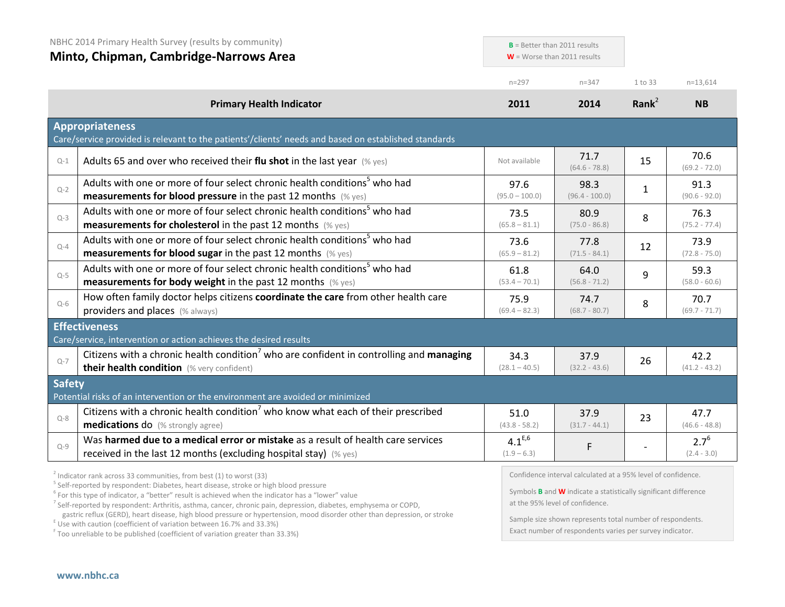|               | NBHC 2014 Primary Health Survey (results by community)<br>Minto, Chipman, Cambridge-Narrows Area                                                                                                                      | $B =$ Better than 2011 results<br>$W =$ Worse than 2011 results |                          |                   |                            |
|---------------|-----------------------------------------------------------------------------------------------------------------------------------------------------------------------------------------------------------------------|-----------------------------------------------------------------|--------------------------|-------------------|----------------------------|
|               |                                                                                                                                                                                                                       | $n = 297$                                                       | $n = 347$                | 1 to 33           | $n=13,614$                 |
|               | <b>Primary Health Indicator</b>                                                                                                                                                                                       | 2011                                                            | 2014                     | Rank <sup>2</sup> | <b>NB</b>                  |
|               | <b>Appropriateness</b><br>Care/service provided is relevant to the patients'/clients' needs and based on established standards                                                                                        |                                                                 |                          |                   |                            |
| $Q-1$         | Adults 65 and over who received their flu shot in the last year $(\%$ yes)                                                                                                                                            | Not available                                                   | 71.7<br>$(64.6 - 78.8)$  | 15                | 70.6<br>$(69.2 - 72.0)$    |
| $Q - 2$       | Adults with one or more of four select chronic health conditions <sup>5</sup> who had<br>measurements for blood pressure in the past 12 months (% yes)                                                                | 97.6<br>$(95.0 - 100.0)$                                        | 98.3<br>$(96.4 - 100.0)$ | $\mathbf{1}$      | 91.3<br>$(90.6 - 92.0)$    |
| $Q-3$         | Adults with one or more of four select chronic health conditions <sup>5</sup> who had<br><b>measurements for cholesterol</b> in the past 12 months (% yes)                                                            | 73.5<br>$(65.8 - 81.1)$                                         | 80.9<br>$(75.0 - 86.8)$  | 8                 | 76.3<br>$(75.2 - 77.4)$    |
| $Q-4$         | Adults with one or more of four select chronic health conditions <sup>5</sup> who had<br><b>measurements for blood sugar in the past 12 months</b> (% yes)                                                            | 73.6<br>$(65.9 - 81.2)$                                         | 77.8<br>$(71.5 - 84.1)$  | 12                | 73.9<br>$(72.8 - 75.0)$    |
| $Q - 5$       | Adults with one or more of four select chronic health conditions <sup>5</sup> who had<br><b>measurements for body weight</b> in the past 12 months (% yes)                                                            | 61.8<br>$(53.4 - 70.1)$                                         | 64.0<br>$(56.8 - 71.2)$  | 9                 | 59.3<br>$(58.0 - 60.6)$    |
| $Q-6$         | How often family doctor helps citizens coordinate the care from other health care<br>providers and places (% always)                                                                                                  | 75.9<br>$(69.4 - 82.3)$                                         | 74.7<br>$(68.7 - 80.7)$  | 8                 | 70.7<br>$(69.7 - 71.7)$    |
|               | <b>Effectiveness</b>                                                                                                                                                                                                  |                                                                 |                          |                   |                            |
| $Q - 7$       | Care/service, intervention or action achieves the desired results<br>Citizens with a chronic health condition <sup>7</sup> who are confident in controlling and managing<br>their health condition (% very confident) | 34.3<br>$(28.1 - 40.5)$                                         | 37.9<br>$(32.2 - 43.6)$  | 26                | 42.2<br>$(41.2 - 43.2)$    |
| <b>Safety</b> | Potential risks of an intervention or the environment are avoided or minimized                                                                                                                                        |                                                                 |                          |                   |                            |
| $Q - 8$       | Citizens with a chronic health condition <sup>7</sup> who know what each of their prescribed<br><b>medications do</b> (% strongly agree)                                                                              | 51.0<br>$(43.8 - 58.2)$                                         | 37.9<br>$(31.7 - 44.1)$  | 23                | 47.7<br>$(46.6 - 48.8)$    |
| $Q - 9$       | Was harmed due to a medical error or mistake as a result of health care services<br>received in the last 12 months (excluding hospital stay) (% yes)                                                                  | $4.1^{E,6}$<br>$(1.9 - 6.3)$                                    | F                        |                   | $2.7^{6}$<br>$(2.4 - 3.0)$ |
|               |                                                                                                                                                                                                                       |                                                                 |                          |                   |                            |

 $^2$  Indicator rank across 33 communities, from best (1) to worst (33)<br>  $^5$  Self-reported by respondent: Diabetes, heart disease, stroke or high blood pressure

<sup>6</sup> For this type of indicator, a "better" result is achieved when the indicator has a "lower" value

<sup>7</sup> Self-reported by respondent: Arthritis, asthma, cancer, chronic pain, depression, diabetes, emphysema or COPD,

gastric reflux (GERD), heart disease, high blood pressure or hypertension, mood disorder other than depression, or stroke E Use with caution (coefficient of variation between 16.7% and 33.3%)

<sup>F</sup> Too unreliable to be published (coefficient of variation greater than 33.3%)

Confidence interval calculated at a 95% level of confidence.

Symbols **B** and **W** indicate a statistically significant difference at the 95% level of confidence.

Sample size shown represents total number of respondents. Exact number of respondents varies per survey indicator.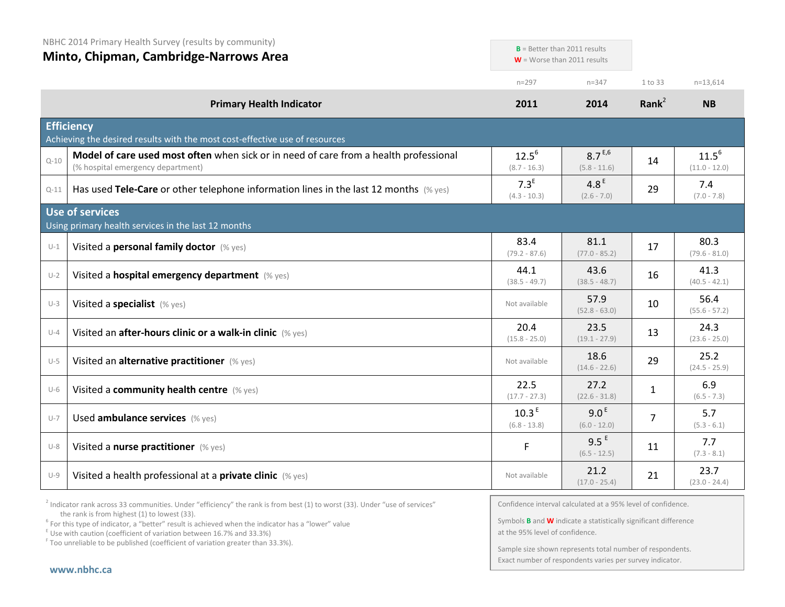NBHC 2014 Primary Health Survey (results by community)

**Minto, Chipman, Cambridge-Narrows Area** n=297 n=347 1 to 33 n=13,614 **Primary Health Indicator 2011 2014 Rank**<sup>2</sup> **NB Efficiency** Achieving the desired results with the most cost-effective use of resources  $_{\text{Q-10}}$  **Model of care used most often** when sick or in need of care from a health professional (% hospital emergency department)  $12.5^{6}$ (8.7 - 16.3)  $8.7^{E,6}$ (5.8 - 11.6)  $14$  11.5<sup>6</sup> (11.0 - 12.0) Q-11 **Has used Tele-Care** or other telephone information lines in the last 12 months (% yes) 7.3<sup>E</sup>  $(4.3 - 10.3)$ 4.8 $E$  $(2.6 - 7.0)$  $29$  7.4 (7.0 - 7.8) **Use of services** Using primary health services in the last 12 months U-1 Visited a **personal family doctor** (% yes) 83.4 (79.2 - 87.6) 81.1 (77.0 - 85.2)  $17$  80.3 (79.6 - 81.0) U-2 Visited a **hospital emergency department** (% yes) 44.1 (38.5 - 49.7) 43.6 (38.5 - 48.7)  $16$  41.3  $(40.5 - 42.1)$ U-3 **Visited a specialist** (% yes) 57.9 (52.8 - 63.0)  $10$  56.4 (55.6 - 57.2) U-4 Visited an **after-hours clinic or a walk-in clinic** (% yes) 20.4  $(15.8 - 25.0)$ 23.5  $(19.1 - 27.9)$  $13$  24.3 (23.6 - 25.0) U-5 Visited an **alternative practitioner** (% yes) Not available 18.6  $(14.6 - 22.6)$  $29$  25.2  $(24.5 - 25.9)$ U-6 Visited a **community health centre** (% yes) 22.5  $(17.7 - 27.3)$ 27.2 (22.6 - 31.8)  $1 \t 6.9$  $(6.5 - 7.3)$  $U$ -7 Used **ambulance services** (% yes) 10.3<sup>E</sup> (6.8 - 13.8)  $9.0<sup>E</sup>$ (6.0 - 12.0)  $7 \t 5.7$  $(5.3 - 6.1)$ U-8 Visited a **nurse practitioner** (% yes) **Fig. 3.5 E** 9.5 E  $(6.5 - 12.5)$  $11$  7.7 (7.3 - 8.1) U-9 Visited a health professional at a **private clinic** (% yes) Not available Not available 21.2  $(17.0 - 25.4)$  $23.7$ (23.0 - 24.4) **B** = Better than 2011 results **W** = Worse than 2011 results

 $2$  Indicator rank across 33 communities. Under "efficiency" the rank is from best (1) to worst (33). Under "use of services" the rank is from highest (1) to lowest (33).

<sup>6</sup> For this type of indicator, a "better" result is achieved when the indicator has a "lower" value E Use with caution (coefficient of variation between 16.7% and 33.3%)

<sup>F</sup> Too unreliable to be published (coefficient of variation greater than 33.3%).

Confidence interval calculated at a 95% level of confidence.

Symbols **B** and **W** indicate a statistically significant difference at the 95% level of confidence.

Sample size shown represents total number of respondents. Exact number of respondents varies per survey indicator.